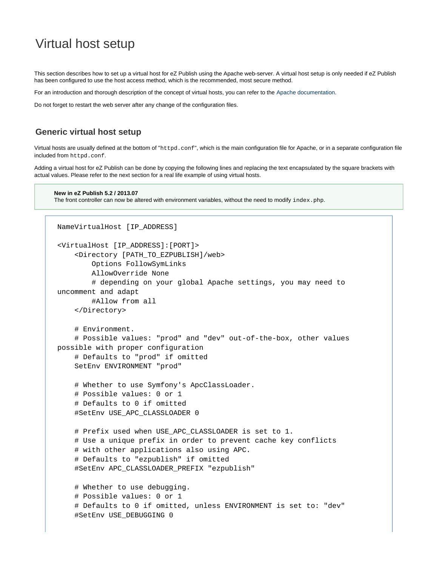# Virtual host setup

This section describes how to set up a virtual host for eZ Publish using the Apache web-server. A virtual host setup is only needed if eZ Publish has been configured to use the host access method, which is the recommended, most secure method.

For an introduction and thorough description of the concept of virtual hosts, you can refer to the [Apache documentation](http://httpd.apache.org/docs/2.2/vhosts/).

Do not forget to restart the web server after any change of the configuration files.

## **Generic virtual host setup**

Virtual hosts are usually defined at the bottom of "httpd.conf", which is the main configuration file for Apache, or in a separate configuration file included from httpd.conf.

Adding a virtual host for eZ Publish can be done by copying the following lines and replacing the text encapsulated by the square brackets with actual values. Please refer to the next section for a real life example of using virtual hosts.

#### **New in eZ Publish 5.2 / 2013.07**

The front controller can now be altered with environment variables, without the need to modify index. php.

```
NameVirtualHost [IP_ADDRESS]
<VirtualHost [IP_ADDRESS]:[PORT]>
     <Directory [PATH_TO_EZPUBLISH]/web>
         Options FollowSymLinks
         AllowOverride None
         # depending on your global Apache settings, you may need to
uncomment and adapt
         #Allow from all
     </Directory>
     # Environment.
     # Possible values: "prod" and "dev" out-of-the-box, other values
possible with proper configuration
     # Defaults to "prod" if omitted
     SetEnv ENVIRONMENT "prod"
     # Whether to use Symfony's ApcClassLoader.
     # Possible values: 0 or 1
     # Defaults to 0 if omitted
     #SetEnv USE_APC_CLASSLOADER 0
     # Prefix used when USE_APC_CLASSLOADER is set to 1.
     # Use a unique prefix in order to prevent cache key conflicts
     # with other applications also using APC.
     # Defaults to "ezpublish" if omitted
     #SetEnv APC_CLASSLOADER_PREFIX "ezpublish"
     # Whether to use debugging.
     # Possible values: 0 or 1
     # Defaults to 0 if omitted, unless ENVIRONMENT is set to: "dev"
     #SetEnv USE_DEBUGGING 0
```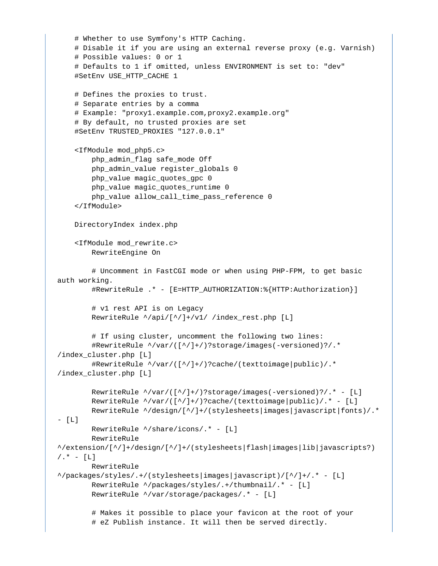```
 # Whether to use Symfony's HTTP Caching.
     # Disable it if you are using an external reverse proxy (e.g. Varnish)
     # Possible values: 0 or 1
     # Defaults to 1 if omitted, unless ENVIRONMENT is set to: "dev"
     #SetEnv USE_HTTP_CACHE 1
     # Defines the proxies to trust.
     # Separate entries by a comma
     # Example: "proxy1.example.com,proxy2.example.org"
     # By default, no trusted proxies are set
     #SetEnv TRUSTED_PROXIES "127.0.0.1"
     <IfModule mod_php5.c>
         php_admin_flag safe_mode Off
         php_admin_value register_globals 0
         php_value magic_quotes_gpc 0
         php_value magic_quotes_runtime 0
         php_value allow_call_time_pass_reference 0
     </IfModule>
     DirectoryIndex index.php
     <IfModule mod_rewrite.c>
         RewriteEngine On
         # Uncomment in FastCGI mode or when using PHP-FPM, to get basic
auth working.
         #RewriteRule .* - [E=HTTP_AUTHORIZATION:%{HTTP:Authorization}]
         # v1 rest API is on Legacy
         RewriteRule ^/api/[^/]+/v1/ /index_rest.php [L]
        # If using cluster, uncomment the following two lines:
         #RewriteRule ^/var/([^/]+/)?storage/images(-versioned)?/.*
/index_cluster.php [L]
         #RewriteRule ^/var/([^/]+/)?cache/(texttoimage|public)/.*
/index_cluster.php [L]
         RewriteRule ^/var/([^/]+/)?storage/images(-versioned)?/.* - [L]
         RewriteRule ^/var/([^/]+/)?cache/(texttoimage|public)/.* - [L]
         RewriteRule ^/design/[^/]+/(stylesheets|images|javascript|fonts)/.*
- [L]
         RewriteRule ^/share/icons/.* - [L]
         RewriteRule
^/extension/[^/]+/design/[^/]+/(stylesheets|flash|images|lib|javascripts?)
/.* - [L]
         RewriteRule
^/packages/styles/.+/(stylesheets|images|javascript)/[^/]+/.* - [L]
         RewriteRule ^/packages/styles/.+/thumbnail/.* - [L]
         RewriteRule ^/var/storage/packages/.* - [L]
         # Makes it possible to place your favicon at the root of your
         # eZ Publish instance. It will then be served directly.
```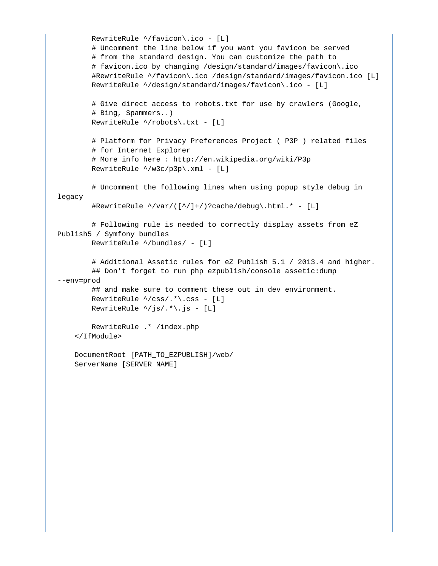```
 RewriteRule ^/favicon\.ico - [L]
         # Uncomment the line below if you want you favicon be served
         # from the standard design. You can customize the path to
         # favicon.ico by changing /design/standard/images/favicon\.ico
         #RewriteRule ^/favicon\.ico /design/standard/images/favicon.ico [L]
         RewriteRule ^/design/standard/images/favicon\.ico - [L]
         # Give direct access to robots.txt for use by crawlers (Google,
         # Bing, Spammers..)
         RewriteRule ^/robots\.txt - [L]
         # Platform for Privacy Preferences Project ( P3P ) related files
         # for Internet Explorer
         # More info here : http://en.wikipedia.org/wiki/P3p
         RewriteRule ^/w3c/p3p\.xml - [L]
         # Uncomment the following lines when using popup style debug in
legacy
         #RewriteRule ^/var/([^/]+/)?cache/debug\.html.* - [L]
         # Following rule is needed to correctly display assets from eZ
Publish5 / Symfony bundles
         RewriteRule ^/bundles/ - [L]
         # Additional Assetic rules for eZ Publish 5.1 / 2013.4 and higher.
         ## Don't forget to run php ezpublish/console assetic:dump
--env=prod
        ## and make sure to comment these out in dev environment.
         RewriteRule ^/css/.*\.css - [L]
        RewriteRule \gammajs/.*\.js - [L]
         RewriteRule .* /index.php
     </IfModule>
     DocumentRoot [PATH_TO_EZPUBLISH]/web/
     ServerName [SERVER_NAME]
```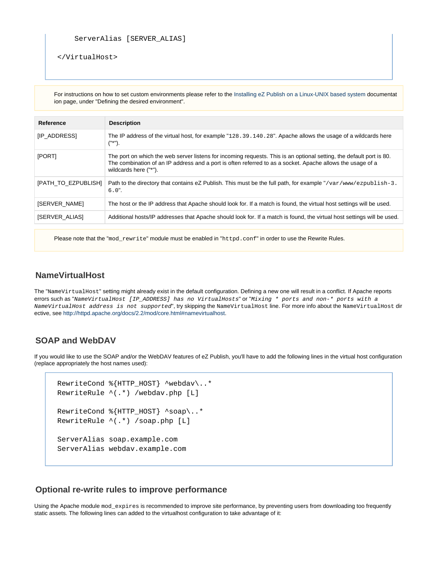</VirtualHost>

For instructions on how to set custom environments please refer to the [Installing eZ Publish on a Linux-UNIX based system](https://doc.ez.no/display/EZP52/Installing+eZ+Publish+on+a+Linux-UNIX+based+system) documentat ion page, under "Defining the desired environment".

| Reference                  | <b>Description</b>                                                                                                                                                                                                                                          |
|----------------------------|-------------------------------------------------------------------------------------------------------------------------------------------------------------------------------------------------------------------------------------------------------------|
| <b>IP ADDRESSI</b>         | The IP address of the virtual host, for example "128, 39, 140, 28". Apache allows the usage of a wildcards here<br>$("**")$ .                                                                                                                               |
| [PORT]                     | The port on which the web server listens for incoming requests. This is an optional setting, the default port is 80.<br>The combination of an IP address and a port is often referred to as a socket. Apache allows the usage of a<br>wildcards here ("*"). |
| <b>[PATH TO EZPUBLISH]</b> | Path to the directory that contains eZ Publish. This must be the full path, for example "/var/www/ezpublish-3.<br>$6.0$ ".                                                                                                                                  |
| [SERVER NAME]              | The host or the IP address that Apache should look for. If a match is found, the virtual host settings will be used.                                                                                                                                        |
| <b>ISERVER ALIASI</b>      | Additional hosts/IP addresses that Apache should look for. If a match is found, the virtual host settings will be used.                                                                                                                                     |

Please note that the "mod rewrite" module must be enabled in "httpd.conf" in order to use the Rewrite Rules.

### **NameVirtualHost**

The "NameVirtualHost" setting might already exist in the default configuration. Defining a new one will result in a conflict. If Apache reports errors such as "NameVirtualHost [IP\_ADDRESS] has no VirtualHosts" or "Mixing \* ports and non-\* ports with a NameVirtualHost address is not supported", try skipping the NameVirtualHost line. For more info about the NameVirtualHost dir ective, see<http://httpd.apache.org/docs/2.2/mod/core.html#namevirtualhost>.

### **SOAP and WebDAV**

If you would like to use the SOAP and/or the WebDAV features of eZ Publish, you'll have to add the following lines in the virtual host configuration (replace appropriately the host names used):

```
RewriteCond %{HTTP_HOST} ^webdav\..*
RewriteRule ^(.*) /webdav.php [L]
RewriteCond %{HTTP_HOST} ^soap\..*
RewriteRule ^(.*) /soap.php [L]
ServerAlias soap.example.com
ServerAlias webdav.example.com
```
#### **Optional re-write rules to improve performance**

Using the Apache module mod\_expires is recommended to improve site performance, by preventing users from downloading too frequently static assets. The following lines can added to the virtualhost configuration to take advantage of it: